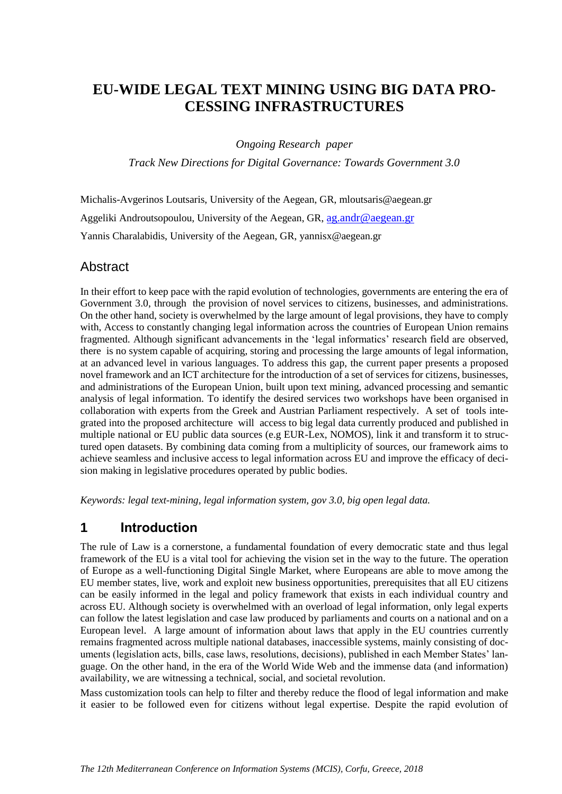# **EU-WIDE LEGAL TEXT MINING USING BIG DATA PRO-CESSING INFRASTRUCTURES**

*Ongoing Research paper*

*Track New Directions for Digital Governance: Towards Government 3.0*

Michalis-Avgerinos Loutsaris, University of the Aegean, GR, [mloutsaris@aegean.gr](mailto:mloutsaris@aegean.gr)

Aggeliki Androutsopoulou, University of the Aegean, GR, [ag.andr@aegean.gr](mailto:ag.andr@aegean.gr)

Yannis Charalabidis, University of the Aegean, GR, [yannisx@aegean.gr](mailto:yannisx@aegean.gr)

#### **Abstract**

In their effort to keep pace with the rapid evolution of technologies, governments are entering the era of Government 3.0, through the provision of novel services to citizens, businesses, and administrations. On the other hand, society is overwhelmed by the large amount of legal provisions, they have to comply with, Access to constantly changing legal information across the countries of European Union remains fragmented. Although significant advancements in the 'legal informatics' research field are observed, there is no system capable of acquiring, storing and processing the large amounts of legal information, at an advanced level in various languages. To address this gap, the current paper presents a proposed novel framework and an ICT architecture for the introduction of a set of services for citizens, businesses, and administrations of the European Union, built upon text mining, advanced processing and semantic analysis of legal information. To identify the desired services two workshops have been organised in collaboration with experts from the Greek and Austrian Parliament respectively. A set of tools integrated into the proposed architecture will access to big legal data currently produced and published in multiple national or EU public data sources (e.g EUR-Lex, NOMOS), link it and transform it to structured open datasets. By combining data coming from a multiplicity of sources, our framework aims to achieve seamless and inclusive access to legal information across EU and improve the efficacy of decision making in legislative procedures operated by public bodies.

*Keywords: legal text-mining, legal information system, gov 3.0, big open legal data.*

### **1 Introduction**

The rule of Law is a cornerstone, a fundamental foundation of every democratic state and thus legal framework of the EU is a vital tool for achieving the vision set in the way to the future. The operation of Europe as a well-functioning Digital Single Market, where Europeans are able to move among the EU member states, live, work and exploit new business opportunities, prerequisites that all EU citizens can be easily informed in the legal and policy framework that exists in each individual country and across EU. Although society is overwhelmed with an overload of legal information, only legal experts can follow the latest legislation and case law produced by parliaments and courts on a national and on a European level. A large amount of information about laws that apply in the EU countries currently remains fragmented across multiple national databases, inaccessible systems, mainly consisting of documents (legislation acts, bills, case laws, resolutions, decisions), published in each Member States' language. On the other hand, in the era of the World Wide Web and the immense data (and information) availability, we are witnessing a technical, social, and societal revolution.

Mass customization tools can help to filter and thereby reduce the flood of legal information and make it easier to be followed even for citizens without legal expertise. Despite the rapid evolution of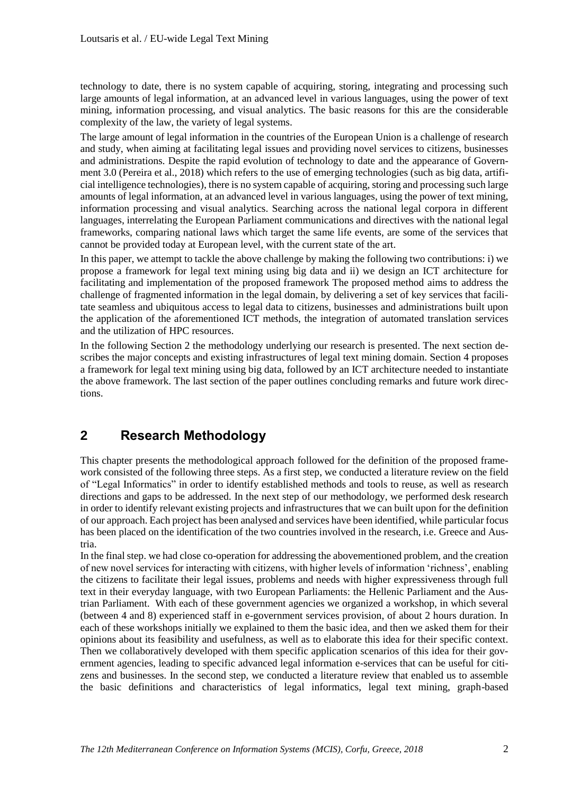technology to date, there is no system capable of acquiring, storing, integrating and processing such large amounts of legal information, at an advanced level in various languages, using the power of text mining, information processing, and visual analytics. The basic reasons for this are the considerable complexity of the law, the variety of legal systems.

The large amount of legal information in the countries of the European Union is a challenge of research and study, when aiming at facilitating legal issues and providing novel services to citizens, businesses and administrations. Despite the rapid evolution of technology to date and the appearance of Government 3.0 (Pereira et al., 2018) which refers to the use of emerging technologies (such as big data, artificial intelligence technologies), there is no system capable of acquiring, storing and processing such large amounts of legal information, at an advanced level in various languages, using the power of text mining, information processing and visual analytics. Searching across the national legal corpora in different languages, interrelating the European Parliament communications and directives with the national legal frameworks, comparing national laws which target the same life events, are some of the services that cannot be provided today at European level, with the current state of the art.

In this paper, we attempt to tackle the above challenge by making the following two contributions: i) we propose a framework for legal text mining using big data and ii) we design an ICT architecture for facilitating and implementation of the proposed framework The proposed method aims to address the challenge of fragmented information in the legal domain, by delivering a set of key services that facilitate seamless and ubiquitous access to legal data to citizens, businesses and administrations built upon the application of the aforementioned ICT methods, the integration of automated translation services and the utilization of HPC resources.

In the following Section 2 the methodology underlying our research is presented. The next section describes the major concepts and existing infrastructures of legal text mining domain. Section 4 proposes a framework for legal text mining using big data, followed by an ICT architecture needed to instantiate the above framework. The last section of the paper outlines concluding remarks and future work directions.

## **2 Research Methodology**

This chapter presents the methodological approach followed for the definition of the proposed framework consisted of the following three steps. As a first step, we conducted a literature review on the field of "Legal Informatics" in order to identify established methods and tools to reuse, as well as research directions and gaps to be addressed. In the next step of our methodology, we performed desk research in order to identify relevant existing projects and infrastructures that we can built upon for the definition of our approach. Each project has been analysed and services have been identified, while particular focus has been placed on the identification of the two countries involved in the research, i.e. Greece and Austria.

In the final step. we had close co-operation for addressing the abovementioned problem, and the creation of new novel services for interacting with citizens, with higher levels of information 'richness', enabling the citizens to facilitate their legal issues, problems and needs with higher expressiveness through full text in their everyday language, with two European Parliaments: the Hellenic Parliament and the Austrian Parliament. With each of these government agencies we organized a workshop, in which several (between 4 and 8) experienced staff in e-government services provision, of about 2 hours duration. In each of these workshops initially we explained to them the basic idea, and then we asked them for their opinions about its feasibility and usefulness, as well as to elaborate this idea for their specific context. Then we collaboratively developed with them specific application scenarios of this idea for their government agencies, leading to specific advanced legal information e-services that can be useful for citizens and businesses. In the second step, we conducted a literature review that enabled us to assemble the basic definitions and characteristics of legal informatics, legal text mining, graph-based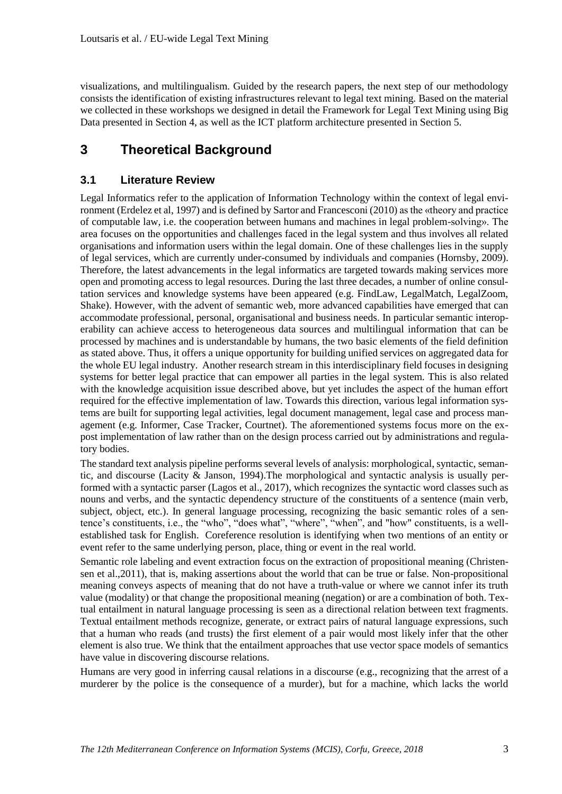visualizations, and multilingualism. Guided by the research papers, the next step of our methodology consists the identification of existing infrastructures relevant to legal text mining. Based on the material we collected in these workshops we designed in detail the Framework for Legal Text Mining using Big Data presented in Section 4, as well as the ICT platform architecture presented in Section 5.

## **3 Theoretical Background**

#### **3.1 Literature Review**

Legal Informatics refer to the application of Information Technology within the context of legal environment (Erdelez et al, 1997) and is defined by Sartor and Francesconi (2010) as the «theory and practice of computable law, i.e. the cooperation between humans and machines in legal problem-solving». The area focuses on the opportunities and challenges faced in the legal system and thus involves all related organisations and information users within the legal domain. One of these challenges lies in the supply of legal services, which are currently under-consumed by individuals and companies (Hornsby, 2009). Therefore, the latest advancements in the legal informatics are targeted towards making services more open and promoting access to legal resources. During the last three decades, a number of online consultation services and knowledge systems have been appeared (e.g. FindLaw, LegalMatch, LegalZoom, Shake). However, with the advent of semantic web, more advanced capabilities have emerged that can accommodate professional, personal, organisational and business needs. In particular semantic interoperability can achieve access to heterogeneous data sources and multilingual information that can be processed by machines and is understandable by humans, the two basic elements of the field definition as stated above. Thus, it offers a unique opportunity for building unified services on aggregated data for the whole EU legal industry. Another research stream in this interdisciplinary field focuses in designing systems for better legal practice that can empower all parties in the legal system. This is also related with the knowledge acquisition issue described above, but yet includes the aspect of the human effort required for the effective implementation of law. Towards this direction, various legal information systems are built for supporting legal activities, legal document management, legal case and process management (e.g. Informer, Case Tracker, Courtnet). The aforementioned systems focus more on the expost implementation of law rather than on the design process carried out by administrations and regulatory bodies.

The standard text analysis pipeline performs several levels of analysis: morphological, syntactic, semantic, and discourse (Lacity & Janson, 1994).The morphological and syntactic analysis is usually performed with a syntactic parser (Lagos et al., 2017), which recognizes the syntactic word classes such as nouns and verbs, and the syntactic dependency structure of the constituents of a sentence (main verb, subject, object, etc.). In general language processing, recognizing the basic semantic roles of a sentence's constituents, i.e., the "who", "does what", "where", "when", and "how" constituents, is a wellestablished task for English. Coreference resolution is identifying when two mentions of an entity or event refer to the same underlying person, place, thing or event in the real world.

Semantic role labeling and event extraction focus on the extraction of propositional meaning (Christensen et al.,2011), that is, making assertions about the world that can be true or false. Non-propositional meaning conveys aspects of meaning that do not have a truth-value or where we cannot infer its truth value (modality) or that change the propositional meaning (negation) or are a combination of both. Textual entailment in natural language processing is seen as a directional relation between text fragments. Textual entailment methods recognize, generate, or extract pairs of natural language expressions, such that a human who reads (and trusts) the first element of a pair would most likely infer that the other element is also true. We think that the entailment approaches that use vector space models of semantics have value in discovering discourse relations.

Humans are very good in inferring causal relations in a discourse (e.g., recognizing that the arrest of a murderer by the police is the consequence of a murder), but for a machine, which lacks the world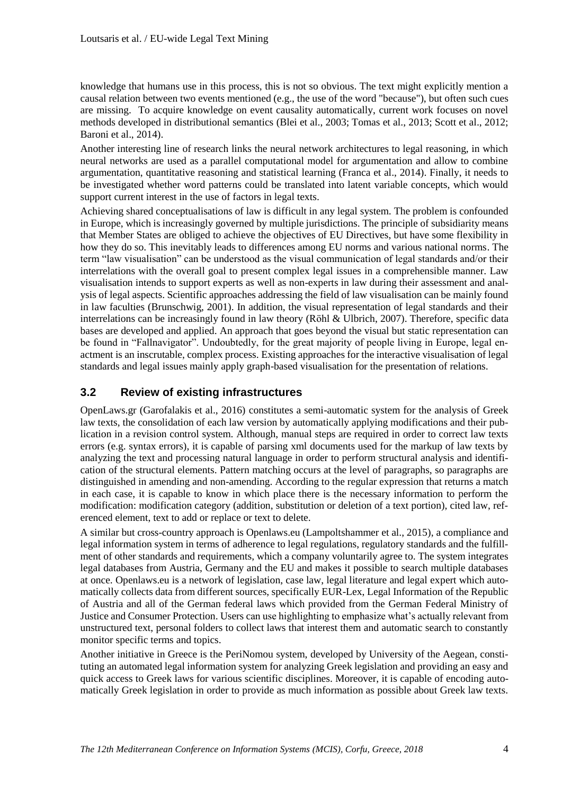knowledge that humans use in this process, this is not so obvious. The text might explicitly mention a causal relation between two events mentioned (e.g., the use of the word "because"), but often such cues are missing. To acquire knowledge on event causality automatically, current work focuses on novel methods developed in distributional semantics (Blei et al., 2003; Tomas et al., 2013; Scott et al., 2012; Baroni et al., 2014).

Another interesting line of research links the neural network architectures to legal reasoning, in which neural networks are used as a parallel computational model for argumentation and allow to combine argumentation, quantitative reasoning and statistical learning (Franca et al., 2014). Finally, it needs to be investigated whether word patterns could be translated into latent variable concepts, which would support current interest in the use of factors in legal texts.

Achieving shared conceptualisations of law is difficult in any legal system. The problem is confounded in Europe, which is increasingly governed by multiple jurisdictions. The principle of subsidiarity means that Member States are obliged to achieve the objectives of EU Directives, but have some flexibility in how they do so. This inevitably leads to differences among EU norms and various national norms. The term "law visualisation" can be understood as the visual communication of legal standards and/or their interrelations with the overall goal to present complex legal issues in a comprehensible manner. Law visualisation intends to support experts as well as non-experts in law during their assessment and analysis of legal aspects. Scientific approaches addressing the field of law visualisation can be mainly found in law faculties (Brunschwig, 2001). In addition, the visual representation of legal standards and their interrelations can be increasingly found in law theory (Röhl & Ulbrich, 2007). Therefore, specific data bases are developed and applied. An approach that goes beyond the visual but static representation can be found in "Fallnavigator". Undoubtedly, for the great majority of people living in Europe, legal enactment is an inscrutable, complex process. Existing approaches for the interactive visualisation of legal standards and legal issues mainly apply graph-based visualisation for the presentation of relations.

#### **3.2 Review of existing infrastructures**

OpenLaws.gr (Garofalakis et al., 2016) constitutes a semi-automatic system for the analysis of Greek law texts, the consolidation of each law version by automatically applying modifications and their publication in a revision control system. Although, manual steps are required in order to correct law texts errors (e.g. syntax errors), it is capable of parsing xml documents used for the markup of law texts by analyzing the text and processing natural language in order to perform structural analysis and identification of the structural elements. Pattern matching occurs at the level of paragraphs, so paragraphs are distinguished in amending and non-amending. According to the regular expression that returns a match in each case, it is capable to know in which place there is the necessary information to perform the modification: modification category (addition, substitution or deletion of a text portion), cited law, referenced element, text to add or replace or text to delete.

A similar but cross-country approach is Openlaws.eu (Lampoltshammer et al., 2015), a compliance and legal information system in terms of adherence to legal regulations, regulatory standards and the fulfillment of other standards and requirements, which a company voluntarily agree to. The system integrates legal databases from Austria, Germany and the EU and makes it possible to search multiple databases at once. Openlaws.eu is a network of legislation, case law, legal literature and legal expert which automatically collects data from different sources, specifically EUR-Lex, Legal Information of the Republic of Austria and all of the German federal laws which provided from the German Federal Ministry of Justice and Consumer Protection. Users can use highlighting to emphasize what's actually relevant from unstructured text, personal folders to collect laws that interest them and automatic search to constantly monitor specific terms and topics.

Another initiative in Greece is the PeriNomou system, developed by University of the Aegean, constituting an automated legal information system for analyzing Greek legislation and providing an easy and quick access to Greek laws for various scientific disciplines. Moreover, it is capable of encoding automatically Greek legislation in order to provide as much information as possible about Greek law texts.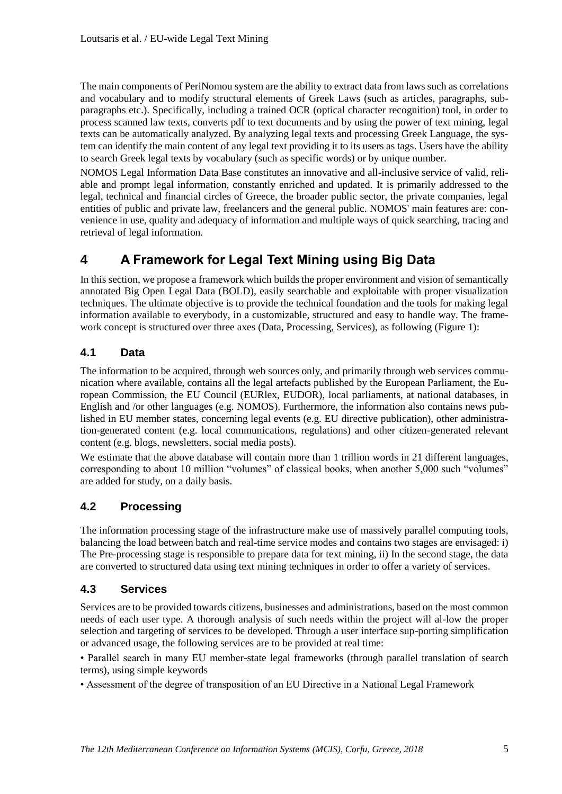The main components of PeriNomou system are the ability to extract data from laws such as correlations and vocabulary and to modify structural elements of Greek Laws (such as articles, paragraphs, subparagraphs etc.). Specifically, including a trained OCR (optical character recognition) tool, in order to process scanned law texts, converts pdf to text documents and by using the power of text mining, legal texts can be automatically analyzed. By analyzing legal texts and processing Greek Language, the system can identify the main content of any legal text providing it to its users as tags. Users have the ability to search Greek legal texts by vocabulary (such as specific words) or by unique number.

NOMOS Legal Information Data Base constitutes an innovative and all-inclusive service of valid, reliable and prompt legal information, constantly enriched and updated. It is primarily addressed to the legal, technical and financial circles of Greece, the broader public sector, the private companies, legal entities of public and private law, freelancers and the general public. NOMOS' main features are: convenience in use, quality and adequacy of information and multiple ways of quick searching, tracing and retrieval of legal information.

# **4 A Framework for Legal Text Mining using Big Data**

In this section, we propose a framework which builds the proper environment and vision of semantically annotated Big Open Legal Data (BOLD), easily searchable and exploitable with proper visualization techniques. The ultimate objective is to provide the technical foundation and the tools for making legal information available to everybody, in a customizable, structured and easy to handle way. The framework concept is structured over three axes (Data, Processing, Services), as following (Figure 1):

### **4.1 Data**

The information to be acquired, through web sources only, and primarily through web services communication where available, contains all the legal artefacts published by the European Parliament, the European Commission, the EU Council (EURlex, EUDOR), local parliaments, at national databases, in English and /or other languages (e.g. NOMOS). Furthermore, the information also contains news published in EU member states, concerning legal events (e.g. EU directive publication), other administration-generated content (e.g. local communications, regulations) and other citizen-generated relevant content (e.g. blogs, newsletters, social media posts).

We estimate that the above database will contain more than 1 trillion words in 21 different languages, corresponding to about 10 million "volumes" of classical books, when another 5,000 such "volumes" are added for study, on a daily basis.

## **4.2 Processing**

The information processing stage of the infrastructure make use of massively parallel computing tools, balancing the load between batch and real-time service modes and contains two stages are envisaged: i) The Pre-processing stage is responsible to prepare data for text mining, ii) In the second stage, the data are converted to structured data using text mining techniques in order to offer a variety of services.

## **4.3 Services**

Services are to be provided towards citizens, businesses and administrations, based on the most common needs of each user type. A thorough analysis of such needs within the project will al-low the proper selection and targeting of services to be developed. Through a user interface sup-porting simplification or advanced usage, the following services are to be provided at real time:

• Parallel search in many EU member-state legal frameworks (through parallel translation of search terms), using simple keywords

• Assessment of the degree of transposition of an EU Directive in a National Legal Framework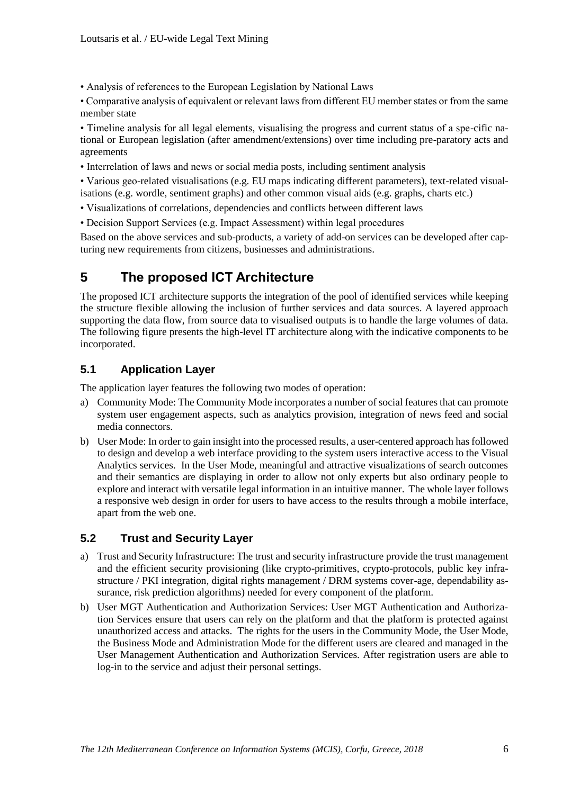• Analysis of references to the European Legislation by National Laws

• Comparative analysis of equivalent or relevant laws from different EU member states or from the same member state

• Timeline analysis for all legal elements, visualising the progress and current status of a spe-cific national or European legislation (after amendment/extensions) over time including pre-paratory acts and agreements

• Interrelation of laws and news or social media posts, including sentiment analysis

• Various geo-related visualisations (e.g. EU maps indicating different parameters), text-related visualisations (e.g. wordle, sentiment graphs) and other common visual aids (e.g. graphs, charts etc.)

- Visualizations of correlations, dependencies and conflicts between different laws
- Decision Support Services (e.g. Impact Assessment) within legal procedures

Based on the above services and sub-products, a variety of add-on services can be developed after capturing new requirements from citizens, businesses and administrations.

# **5 The proposed ICT Architecture**

The proposed ICT architecture supports the integration of the pool of identified services while keeping the structure flexible allowing the inclusion of further services and data sources. A layered approach supporting the data flow, from source data to visualised outputs is to handle the large volumes of data. The following figure presents the high-level IT architecture along with the indicative components to be incorporated.

### **5.1 Application Layer**

The application layer features the following two modes of operation:

- a) Community Mode: The Community Mode incorporates a number of social features that can promote system user engagement aspects, such as analytics provision, integration of news feed and social media connectors.
- b) User Mode: In order to gain insight into the processed results, a user-centered approach has followed to design and develop a web interface providing to the system users interactive access to the Visual Analytics services. In the User Mode, meaningful and attractive visualizations of search outcomes and their semantics are displaying in order to allow not only experts but also ordinary people to explore and interact with versatile legal information in an intuitive manner. The whole layer follows a responsive web design in order for users to have access to the results through a mobile interface, apart from the web one.

## **5.2 Trust and Security Layer**

- a) Trust and Security Infrastructure: The trust and security infrastructure provide the trust management and the efficient security provisioning (like crypto-primitives, crypto-protocols, public key infrastructure / PKI integration, digital rights management / DRM systems cover-age, dependability assurance, risk prediction algorithms) needed for every component of the platform.
- b) User MGT Authentication and Authorization Services: User MGT Authentication and Authorization Services ensure that users can rely on the platform and that the platform is protected against unauthorized access and attacks. The rights for the users in the Community Mode, the User Mode, the Business Mode and Administration Mode for the different users are cleared and managed in the User Management Authentication and Authorization Services. After registration users are able to log-in to the service and adjust their personal settings.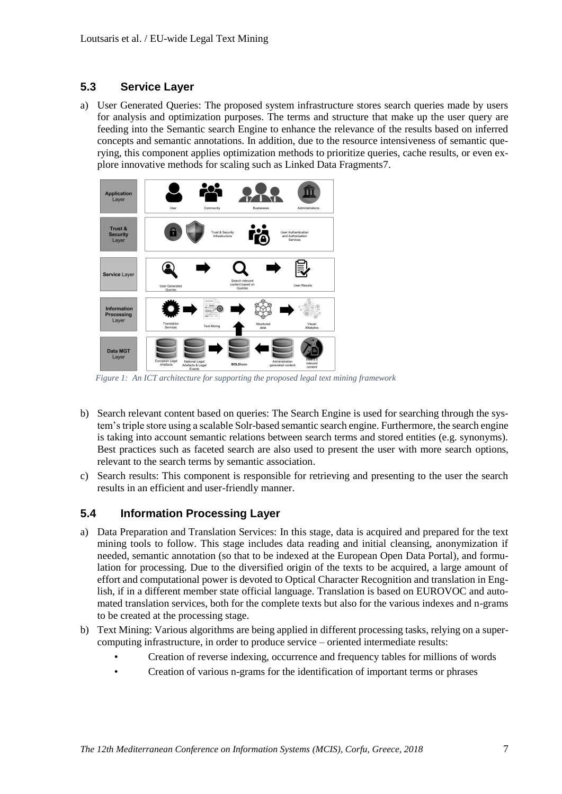#### **5.3 Service Layer**

a) User Generated Queries: The proposed system infrastructure stores search queries made by users for analysis and optimization purposes. The terms and structure that make up the user query are feeding into the Semantic search Engine to enhance the relevance of the results based on inferred concepts and semantic annotations. In addition, due to the resource intensiveness of semantic querying, this component applies optimization methods to prioritize queries, cache results, or even explore innovative methods for scaling such as Linked Data Fragments7.



*Figure 1: An ICT architecture for supporting the proposed legal text mining framework*

- b) Search relevant content based on queries: The Search Engine is used for searching through the system's triple store using a scalable Solr-based semantic search engine. Furthermore, the search engine is taking into account semantic relations between search terms and stored entities (e.g. synonyms). Best practices such as faceted search are also used to present the user with more search options, relevant to the search terms by semantic association.
- c) Search results: This component is responsible for retrieving and presenting to the user the search results in an efficient and user-friendly manner.

#### **5.4 Information Processing Layer**

- a) Data Preparation and Translation Services: In this stage, data is acquired and prepared for the text mining tools to follow. This stage includes data reading and initial cleansing, anonymization if needed, semantic annotation (so that to be indexed at the European Open Data Portal), and formulation for processing. Due to the diversified origin of the texts to be acquired, a large amount of effort and computational power is devoted to Optical Character Recognition and translation in English, if in a different member state official language. Translation is based on EUROVOC and automated translation services, both for the complete texts but also for the various indexes and n-grams to be created at the processing stage.
- b) Text Mining: Various algorithms are being applied in different processing tasks, relying on a supercomputing infrastructure, in order to produce service – oriented intermediate results:
	- Creation of reverse indexing, occurrence and frequency tables for millions of words
	- Creation of various n-grams for the identification of important terms or phrases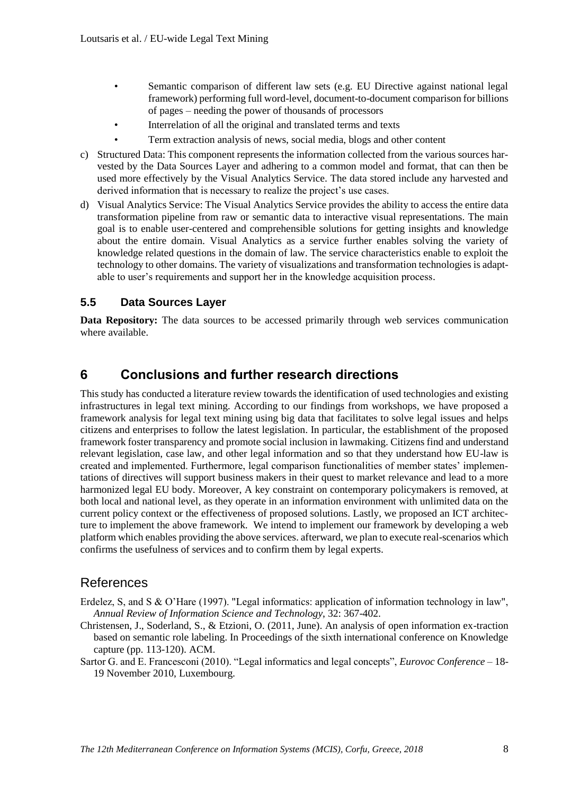- Semantic comparison of different law sets (e.g. EU Directive against national legal framework) performing full word-level, document-to-document comparison for billions of pages – needing the power of thousands of processors
- Interrelation of all the original and translated terms and texts
- Term extraction analysis of news, social media, blogs and other content
- c) Structured Data: This component represents the information collected from the various sources harvested by the Data Sources Layer and adhering to a common model and format, that can then be used more effectively by the Visual Analytics Service. The data stored include any harvested and derived information that is necessary to realize the project's use cases.
- d) Visual Analytics Service: The Visual Analytics Service provides the ability to access the entire data transformation pipeline from raw or semantic data to interactive visual representations. The main goal is to enable user-centered and comprehensible solutions for getting insights and knowledge about the entire domain. Visual Analytics as a service further enables solving the variety of knowledge related questions in the domain of law. The service characteristics enable to exploit the technology to other domains. The variety of visualizations and transformation technologies is adaptable to user's requirements and support her in the knowledge acquisition process.

#### **5.5 Data Sources Layer**

**Data Repository:** The data sources to be accessed primarily through web services communication where available.

## **6 Conclusions and further research directions**

This study has conducted a literature review towards the identification of used technologies and existing infrastructures in legal text mining. According to our findings from workshops, we have proposed a framework analysis for legal text mining using big data that facilitates to solve legal issues and helps citizens and enterprises to follow the latest legislation. In particular, the establishment of the proposed framework foster transparency and promote social inclusion in lawmaking. Citizens find and understand relevant legislation, case law, and other legal information and so that they understand how EU-law is created and implemented. Furthermore, legal comparison functionalities of member states' implementations of directives will support business makers in their quest to market relevance and lead to a more harmonized legal EU body. Moreover, A key constraint on contemporary policymakers is removed, at both local and national level, as they operate in an information environment with unlimited data on the current policy context or the effectiveness of proposed solutions. Lastly, we proposed an ICT architecture to implement the above framework. We intend to implement our framework by developing a web platform which enables providing the above services. afterward, we plan to execute real-scenarios which confirms the usefulness of services and to confirm them by legal experts.

## References

- Erdelez, S, and S & O'Hare (1997). "Legal informatics: application of information technology in law", *Annual Review of Information Science and Technology*, 32: 367-402.
- Christensen, J., Soderland, S., & Etzioni, O. (2011, June). An analysis of open information ex-traction based on semantic role labeling. In Proceedings of the sixth international conference on Knowledge capture (pp. 113-120). ACM.
- Sartor G. and E. Francesconi (2010). "Legal informatics and legal concepts", *Eurovoc Conference* 18- 19 November 2010, Luxembourg.